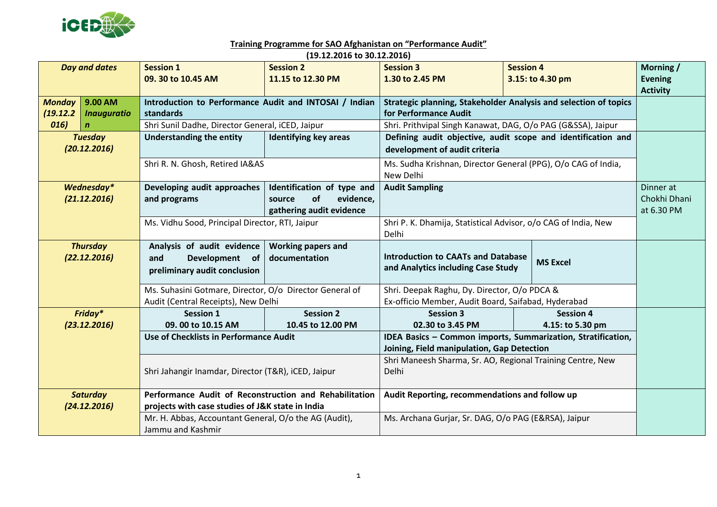

## **Training Programme for SAO Afghanistan on "Performance Audit"**

| (19.12.2016 to 30.12.2016)      |                                                                          |                                                                                                |                                                                  |                                                                                                            |                  |                 |  |  |  |  |
|---------------------------------|--------------------------------------------------------------------------|------------------------------------------------------------------------------------------------|------------------------------------------------------------------|------------------------------------------------------------------------------------------------------------|------------------|-----------------|--|--|--|--|
| <b>Day and dates</b>            |                                                                          | <b>Session 1</b>                                                                               | <b>Session 2</b>                                                 | <b>Session 3</b>                                                                                           | <b>Session 4</b> | Morning /       |  |  |  |  |
|                                 |                                                                          | 09. 30 to 10.45 AM                                                                             | 11.15 to 12.30 PM                                                | 1.30 to 2.45 PM                                                                                            | 3.15: to 4.30 pm | <b>Evening</b>  |  |  |  |  |
|                                 |                                                                          |                                                                                                |                                                                  |                                                                                                            |                  | <b>Activity</b> |  |  |  |  |
|                                 | Monday 9.00 AM<br>Introduction to Performance Audit and INTOSAI / Indian |                                                                                                | Strategic planning, Stakeholder Analysis and selection of topics |                                                                                                            |                  |                 |  |  |  |  |
| (19.12.2)<br><b>Inauguratio</b> |                                                                          | standards                                                                                      |                                                                  | for Performance Audit                                                                                      |                  |                 |  |  |  |  |
| 016)                            | Shri Sunil Dadhe, Director General, iCED, Jaipur                         |                                                                                                | Shri. Prithvipal Singh Kanawat, DAG, O/o PAG (G&SSA), Jaipur     |                                                                                                            |                  |                 |  |  |  |  |
| <b>Tuesday</b>                  |                                                                          | <b>Understanding the entity</b>                                                                | <b>Identifying key areas</b>                                     | Defining audit objective, audit scope and identification and                                               |                  |                 |  |  |  |  |
| (20.12.2016)                    |                                                                          |                                                                                                |                                                                  | development of audit criteria                                                                              |                  |                 |  |  |  |  |
|                                 |                                                                          | Shri R. N. Ghosh, Retired IA&AS                                                                |                                                                  | Ms. Sudha Krishnan, Director General (PPG), O/o CAG of India,                                              |                  |                 |  |  |  |  |
|                                 |                                                                          |                                                                                                |                                                                  | New Delhi                                                                                                  |                  |                 |  |  |  |  |
| Wednesday*                      |                                                                          | Developing audit approaches                                                                    | Identification of type and                                       | <b>Audit Sampling</b>                                                                                      |                  | Dinner at       |  |  |  |  |
| (21.12.2016)                    |                                                                          | and programs                                                                                   | of<br>evidence,<br>source                                        |                                                                                                            |                  | Chokhi Dhani    |  |  |  |  |
|                                 |                                                                          |                                                                                                | gathering audit evidence                                         |                                                                                                            |                  | at 6.30 PM      |  |  |  |  |
|                                 |                                                                          | Ms. Vidhu Sood, Principal Director, RTI, Jaipur                                                |                                                                  | Shri P. K. Dhamija, Statistical Advisor, o/o CAG of India, New                                             |                  |                 |  |  |  |  |
|                                 |                                                                          |                                                                                                |                                                                  | <b>Delhi</b>                                                                                               |                  |                 |  |  |  |  |
|                                 | <b>Thursday</b>                                                          | Analysis of audit evidence                                                                     | <b>Working papers and</b>                                        |                                                                                                            |                  |                 |  |  |  |  |
| (22.12.2016)                    |                                                                          | Development of<br>and                                                                          | documentation                                                    | <b>Introduction to CAATs and Database</b>                                                                  | <b>MS Excel</b>  |                 |  |  |  |  |
|                                 |                                                                          | preliminary audit conclusion                                                                   |                                                                  | and Analytics including Case Study                                                                         |                  |                 |  |  |  |  |
|                                 |                                                                          |                                                                                                |                                                                  |                                                                                                            |                  |                 |  |  |  |  |
|                                 |                                                                          | Ms. Suhasini Gotmare, Director, O/o Director General of<br>Audit (Central Receipts), New Delhi |                                                                  | Shri. Deepak Raghu, Dy. Director, O/o PDCA &<br>Ex-officio Member, Audit Board, Saifabad, Hyderabad        |                  |                 |  |  |  |  |
| Friday*                         |                                                                          | <b>Session 1</b>                                                                               | <b>Session 2</b>                                                 | <b>Session 3</b><br><b>Session 4</b>                                                                       |                  |                 |  |  |  |  |
|                                 | (23.12.2016)                                                             | 09.00 to 10.15 AM                                                                              | 10.45 to 12.00 PM                                                | 02.30 to 3.45 PM                                                                                           | 4.15: to 5.30 pm |                 |  |  |  |  |
|                                 |                                                                          | <b>Use of Checklists in Performance Audit</b>                                                  |                                                                  |                                                                                                            |                  |                 |  |  |  |  |
|                                 |                                                                          |                                                                                                |                                                                  | IDEA Basics - Common imports, Summarization, Stratification,<br>Joining, Field manipulation, Gap Detection |                  |                 |  |  |  |  |
|                                 |                                                                          |                                                                                                |                                                                  | Shri Maneesh Sharma, Sr. AO, Regional Training Centre, New                                                 |                  |                 |  |  |  |  |
|                                 |                                                                          | Shri Jahangir Inamdar, Director (T&R), iCED, Jaipur                                            |                                                                  | Delhi                                                                                                      |                  |                 |  |  |  |  |
|                                 |                                                                          |                                                                                                |                                                                  |                                                                                                            |                  |                 |  |  |  |  |
| <b>Saturday</b>                 |                                                                          | Performance Audit of Reconstruction and Rehabilitation                                         |                                                                  | Audit Reporting, recommendations and follow up                                                             |                  |                 |  |  |  |  |
| (24.12.2016)                    |                                                                          | projects with case studies of J&K state in India                                               |                                                                  |                                                                                                            |                  |                 |  |  |  |  |
|                                 |                                                                          | Mr. H. Abbas, Accountant General, O/o the AG (Audit),                                          |                                                                  | Ms. Archana Gurjar, Sr. DAG, O/o PAG (E&RSA), Jaipur                                                       |                  |                 |  |  |  |  |
|                                 |                                                                          | Jammu and Kashmir                                                                              |                                                                  |                                                                                                            |                  |                 |  |  |  |  |